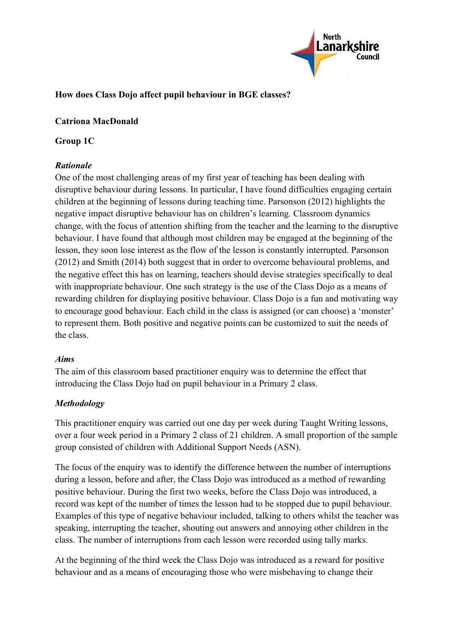

### **How does Class Dojo affect pupil behaviour in BGE classes?**

### **Catriona MacDonald**

### **Group 1C**

### *Rationale*

One of the most challenging areas of my first year of teaching has been dealing with disruptive behaviour during lessons. In particular, I have found difficulties engaging certain children at the beginning of lessons during teaching time. Parsonson (2012) highlights the negative impact disruptive behaviour has on children's learning. Classroom dynamics change, with the focus of attention shifting from the teacher and the learning to the disruptive behaviour. I have found that although most children may be engaged at the beginning of the lesson, they soon lose interest as the flow of the lesson is constantly interrupted. Parsonson (2012) and Smith (2014) both suggest that in order to overcome behavioural problems, and the negative effect this has on learning, teachers should devise strategies specifically to deal with inappropriate behaviour. One such strategy is the use of the Class Dojo as a means of rewarding children for displaying positive behaviour. Class Dojo is a fun and motivating way to encourage good behaviour. Each child in the class is assigned (or can choose) a 'monster' to represent them. Both positive and negative points can be customized to suit the needs of the class.

#### *Aims*

The aim of this classroom based practitioner enquiry was to determine the effect that introducing the Class Dojo had on pupil behaviour in a Primary 2 class.

### *Methodology*

This practitioner enquiry was carried out one day per week during Taught Writing lessons, over a four week period in a Primary 2 class of 21 children. A small proportion of the sample group consisted of children with Additional Support Needs (ASN).

The focus of the enquiry was to identify the difference between the number of interruptions during a lesson, before and after, the Class Dojo was introduced as a method of rewarding positive behaviour. During the first two weeks, before the Class Dojo was introduced, a record was kept of the number of times the lesson had to be stopped due to pupil behaviour. Examples of this type of negative behaviour included, talking to others whilst the teacher was speaking, interrupting the teacher, shouting out answers and annoying other children in the class. The number of interruptions from each lesson were recorded using tally marks.

At the beginning of the third week the Class Dojo was introduced as a reward for positive behaviour and as a means of encouraging those who were misbehaving to change their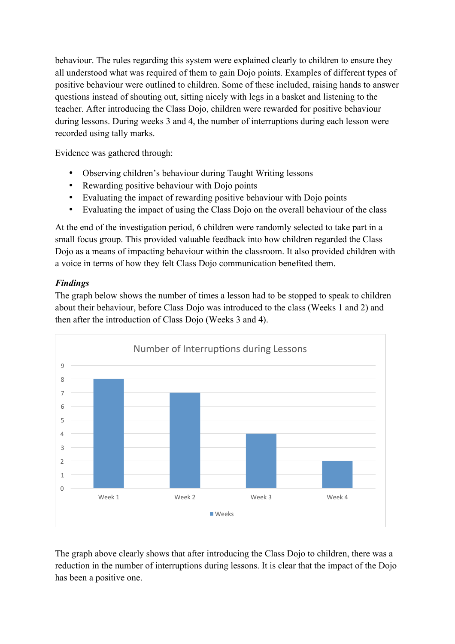behaviour. The rules regarding this system were explained clearly to children to ensure they all understood what was required of them to gain Dojo points. Examples of different types of positive behaviour were outlined to children. Some of these included, raising hands to answer questions instead of shouting out, sitting nicely with legs in a basket and listening to the teacher. After introducing the Class Dojo, children were rewarded for positive behaviour during lessons. During weeks 3 and 4, the number of interruptions during each lesson were recorded using tally marks.

Evidence was gathered through:

- Observing children's behaviour during Taught Writing lessons
- Rewarding positive behaviour with Dojo points
- Evaluating the impact of rewarding positive behaviour with Dojo points
- Evaluating the impact of using the Class Dojo on the overall behaviour of the class

At the end of the investigation period, 6 children were randomly selected to take part in a small focus group. This provided valuable feedback into how children regarded the Class Dojo as a means of impacting behaviour within the classroom. It also provided children with a voice in terms of how they felt Class Dojo communication benefited them.

# *Findings*

The graph below shows the number of times a lesson had to be stopped to speak to children about their behaviour, before Class Dojo was introduced to the class (Weeks 1 and 2) and then after the introduction of Class Dojo (Weeks 3 and 4).



The graph above clearly shows that after introducing the Class Dojo to children, there was a reduction in the number of interruptions during lessons. It is clear that the impact of the Dojo has been a positive one.